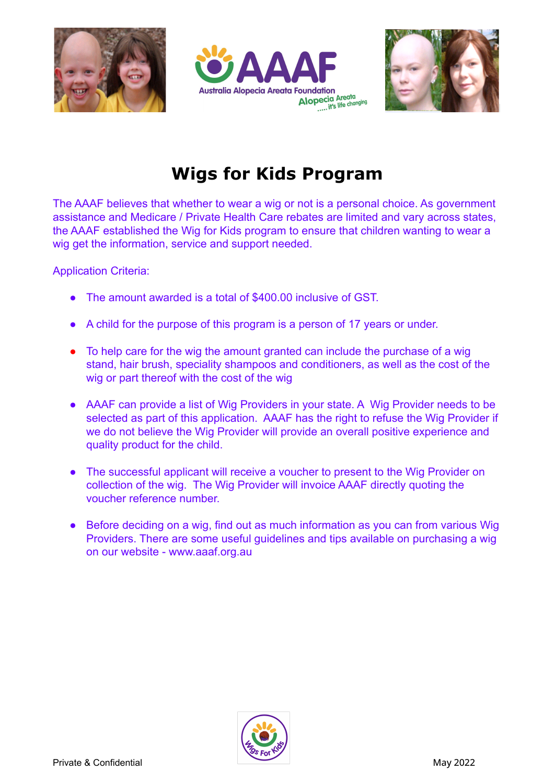





# **Wigs for Kids Program**

The AAAF believes that whether to wear a wig or not is a personal choice. As government assistance and Medicare / Private Health Care rebates are limited and vary across states, the AAAF established the Wig for Kids program to ensure that children wanting to wear a wig get the information, service and support needed.

Application Criteria:

- The amount awarded is a total of \$400.00 inclusive of GST.
- A child for the purpose of this program is a person of 17 years or under.
- To help care for the wig the amount granted can include the purchase of a wig stand, hair brush, speciality shampoos and conditioners, as well as the cost of the wig or part thereof with the cost of the wig
- AAAF can provide a list of Wig Providers in your state. A Wig Provider needs to be selected as part of this application. AAAF has the right to refuse the Wig Provider if we do not believe the Wig Provider will provide an overall positive experience and quality product for the child.
- The successful applicant will receive a voucher to present to the Wig Provider on collection of the wig. The Wig Provider will invoice AAAF directly quoting the voucher reference number.
- Before deciding on a wig, find out as much information as you can from various Wig Providers. There are some useful guidelines and tips available on purchasing a wig on our website - www.aaaf.org.au

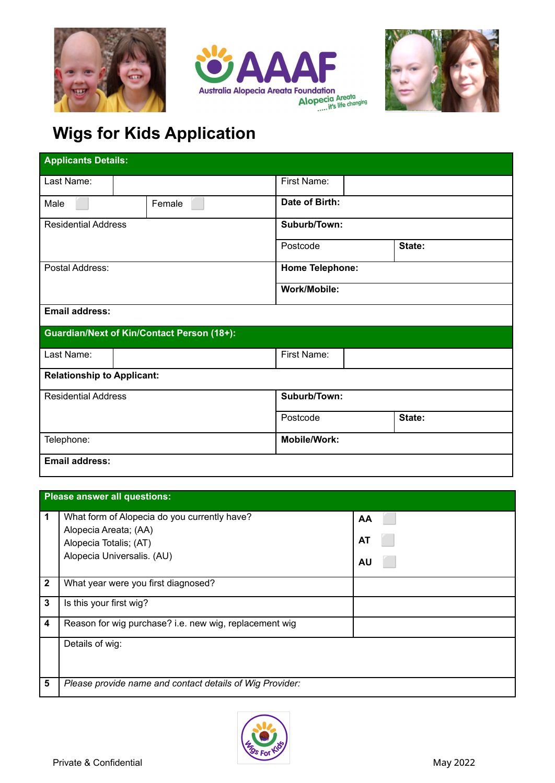





# **Wigs for Kids Application**

| <b>Applicants Details:</b>                        |        |                        |        |
|---------------------------------------------------|--------|------------------------|--------|
| Last Name:                                        |        | First Name:            |        |
| Male                                              | Female | Date of Birth:         |        |
| <b>Residential Address</b>                        |        | Suburb/Town:           |        |
|                                                   |        | Postcode               | State: |
| Postal Address:                                   |        | <b>Home Telephone:</b> |        |
|                                                   |        | Work/Mobile:           |        |
| <b>Email address:</b>                             |        |                        |        |
| <b>Guardian/Next of Kin/Contact Person (18+):</b> |        |                        |        |
| Last Name:                                        |        | First Name:            |        |
| <b>Relationship to Applicant:</b>                 |        |                        |        |
| <b>Residential Address</b>                        |        | Suburb/Town:           |        |
|                                                   |        | Postcode               | State: |
| Telephone:                                        |        | <b>Mobile/Work:</b>    |        |
| <b>Email address:</b>                             |        |                        |        |

| Please answer all questions: |                                                          |    |
|------------------------------|----------------------------------------------------------|----|
| $\mathbf 1$                  | What form of Alopecia do you currently have?             | AA |
|                              | Alopecia Areata; (AA)                                    |    |
|                              | Alopecia Totalis; (AT)                                   | AT |
|                              | Alopecia Universalis. (AU)                               | AU |
| $\overline{\mathbf{2}}$      | What year were you first diagnosed?                      |    |
| 3                            | Is this your first wig?                                  |    |
| 4                            | Reason for wig purchase? i.e. new wig, replacement wig   |    |
|                              | Details of wig:                                          |    |
| 5                            | Please provide name and contact details of Wig Provider: |    |

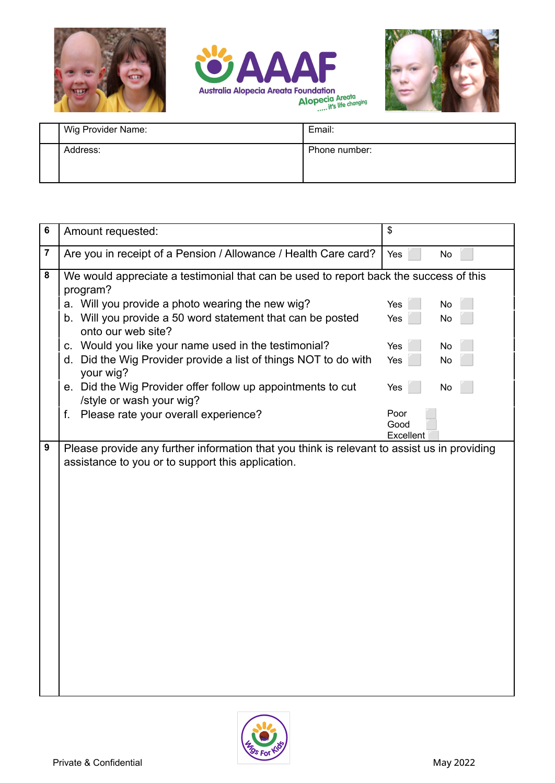





| Wig Provider Name: | Email:        |
|--------------------|---------------|
| Address:           | Phone number: |
|                    |               |

| 6                       | Amount requested:                                                                                                                                | \$                |  |
|-------------------------|--------------------------------------------------------------------------------------------------------------------------------------------------|-------------------|--|
| $\overline{\mathbf{7}}$ | Are you in receipt of a Pension / Allowance / Health Care card?                                                                                  | Yes<br><b>No</b>  |  |
| 8                       | We would appreciate a testimonial that can be used to report back the success of this<br>program?                                                |                   |  |
|                         | a. Will you provide a photo wearing the new wig?                                                                                                 | No<br>Yes         |  |
|                         | b. Will you provide a 50 word statement that can be posted<br>onto our web site?                                                                 | <b>No</b><br>Yes  |  |
|                         | c. Would you like your name used in the testimonial?                                                                                             | Yes<br>No         |  |
|                         | Did the Wig Provider provide a list of things NOT to do with<br>d.<br>your wig?                                                                  | Yes<br>No         |  |
|                         | e. Did the Wig Provider offer follow up appointments to cut<br>/style or wash your wig?                                                          | Yes<br>No         |  |
|                         | Please rate your overall experience?<br>f.                                                                                                       | Poor              |  |
|                         |                                                                                                                                                  | Good<br>Excellent |  |
| 9                       | Please provide any further information that you think is relevant to assist us in providing<br>assistance to you or to support this application. |                   |  |

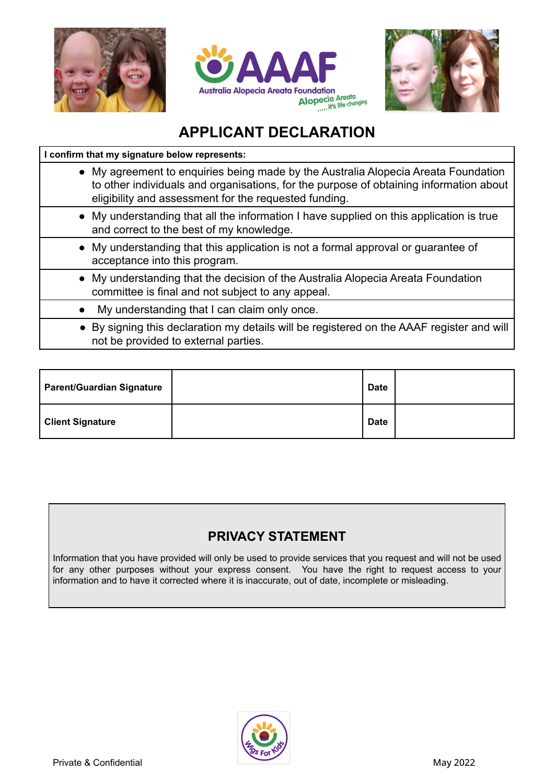





## **APPLICANT DECLARATION**

### **I confirm that my signature below represents:**

- My agreement to enquiries being made by the Australia Alopecia Areata Foundation to other individuals and organisations, for the purpose of obtaining information about eligibility and assessment for the requested funding.
- My understanding that all the information I have supplied on this application is true and correct to the best of my knowledge.
- My understanding that this application is not a formal approval or guarantee of acceptance into this program.
- My understanding that the decision of the Australia Alopecia Areata Foundation committee is final and not subject to any appeal.
- My understanding that I can claim only once.
- By signing this declaration my details will be registered on the AAAF register and will not be provided to external parties.

| <b>Parent/Guardian Signature</b> | <b>Date</b> |  |
|----------------------------------|-------------|--|
| <b>Client Signature</b>          | <b>Date</b> |  |

### **PRIVACY STATEMENT**

Information that you have provided will only be used to provide services that you request and will not be used for any other purposes without your express consent. You have the right to request access to your information and to have it corrected where it is inaccurate, out of date, incomplete or misleading.

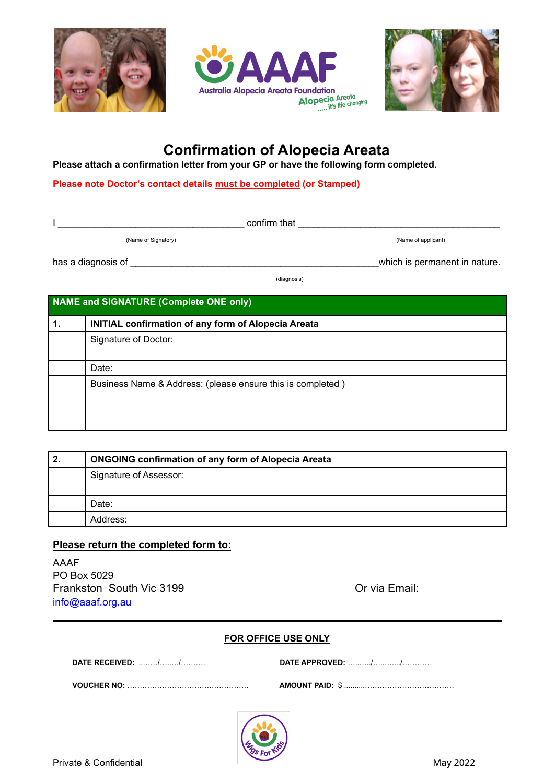





## **Confirmation of Alopecia Areata**

**Please attach a confirmation letter from your GP or have the following form completed.**

**Please note Doctor's contact details must be completed (or Stamped)**

I \_\_\_\_\_\_\_\_\_\_\_\_\_\_\_\_\_\_\_\_\_\_\_\_\_\_\_\_\_\_\_\_\_\_\_\_ confirm that \_\_\_\_\_\_\_\_\_\_\_\_\_\_\_\_\_\_\_\_\_\_\_\_\_\_\_\_\_\_\_\_\_\_\_\_\_\_\_

(Name of Signatory) (Name of applicant)

has a diagnosis of \_\_\_\_\_\_\_\_\_\_\_\_\_\_\_\_\_\_\_\_\_\_\_\_\_\_\_\_\_\_\_\_\_\_\_\_\_\_\_\_\_\_\_\_\_\_\_\_which is permanent in nature.

(diagnosis)

### **NAME and SIGNATURE (Complete ONE only)**

| 1. | <b>INITIAL confirmation of any form of Alopecia Areata</b> |
|----|------------------------------------------------------------|
|    | Signature of Doctor:                                       |
|    |                                                            |
|    | Date:                                                      |
|    | Business Name & Address: (please ensure this is completed) |

| 2. | <b>ONGOING confirmation of any form of Alopecia Areata</b> |  |
|----|------------------------------------------------------------|--|
|    | Signature of Assessor:                                     |  |
|    |                                                            |  |
|    | Date:                                                      |  |
|    | Address:                                                   |  |

### **Please return the completed form to:**

AAAF PO Box 5029 Frankston South Vic 3199 **Canadian Contract Contract Contract Contract Contract Contract Contract Contract Contract Contract Contract Contract Contract Contract Contract Contract Contract Contract Contract Contract Contrac** [info@aaaf.org.au](mailto:info@aaaf.org.au)

#### **FOR OFFICE USE ONLY**

| DATE RECEIVED: // |  |
|-------------------|--|
|                   |  |